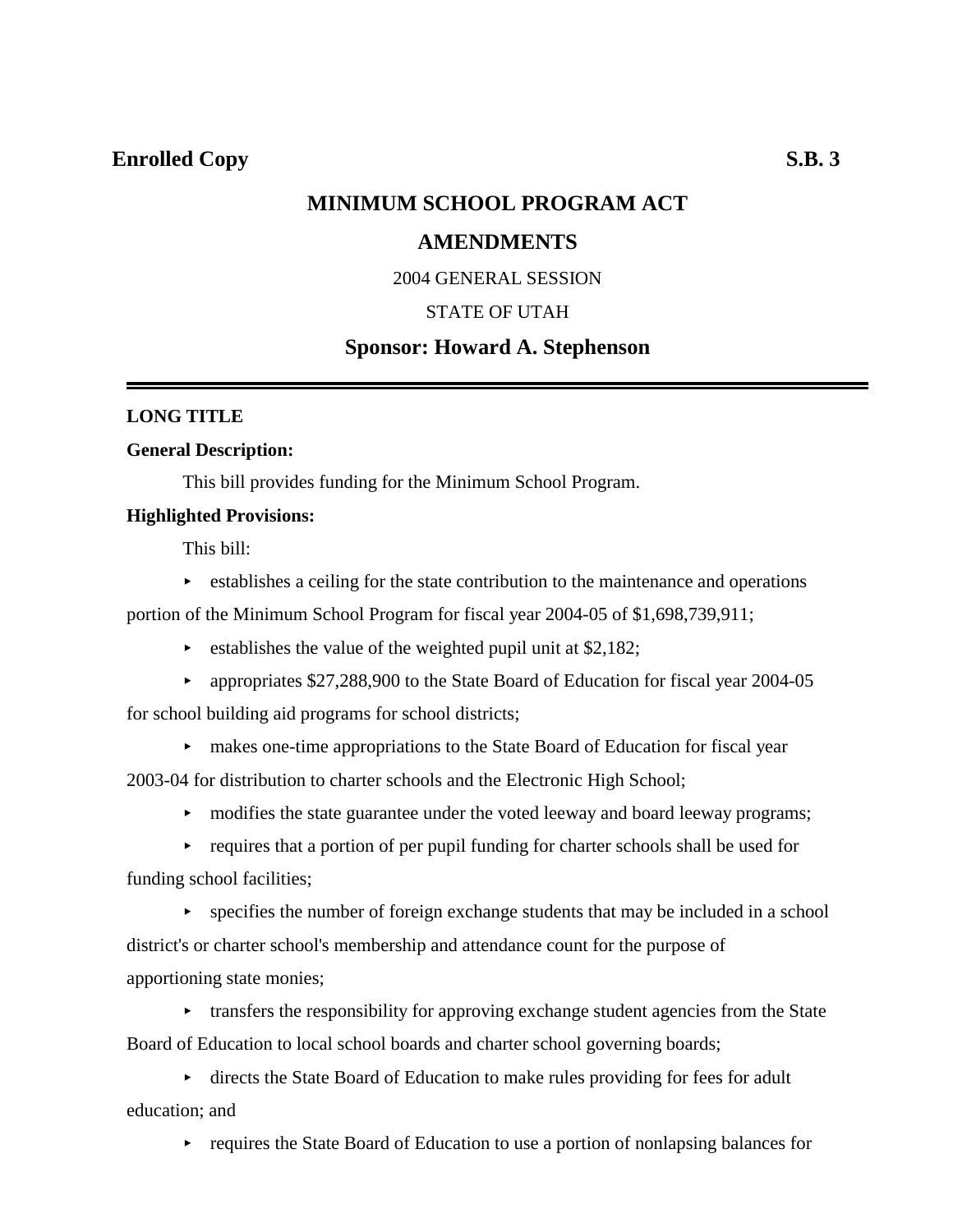## **MINIMUM SCHOOL PROGRAM ACT**

### **AMENDMENTS**

### 2004 GENERAL SESSION

### STATE OF UTAH

### **Sponsor: Howard A. Stephenson**

### **LONG TITLE**

### **General Description:**

This bill provides funding for the Minimum School Program.

### **Highlighted Provisions:**

This bill:

 $\triangleright$  establishes a ceiling for the state contribution to the maintenance and operations

portion of the Minimum School Program for fiscal year 2004-05 of \$1,698,739,911;

- $\triangleright$  establishes the value of the weighted pupil unit at \$2,182;
- propriates  $$27,288,900$  to the State Board of Education for fiscal year 2004-05 for school building aid programs for school districts;
	- < makes one-time appropriations to the State Board of Education for fiscal year

2003-04 for distribution to charter schools and the Electronic High School;

• modifies the state guarantee under the voted leeway and board leeway programs;

 $\rightarrow$  requires that a portion of per pupil funding for charter schools shall be used for funding school facilities;

 $\rightarrow$  specifies the number of foreign exchange students that may be included in a school district's or charter school's membership and attendance count for the purpose of apportioning state monies;

 $\triangleright$  transfers the responsibility for approving exchange student agencies from the State Board of Education to local school boards and charter school governing boards;

< directs the State Board of Education to make rules providing for fees for adult education; and

 $\rightarrow$  requires the State Board of Education to use a portion of nonlapsing balances for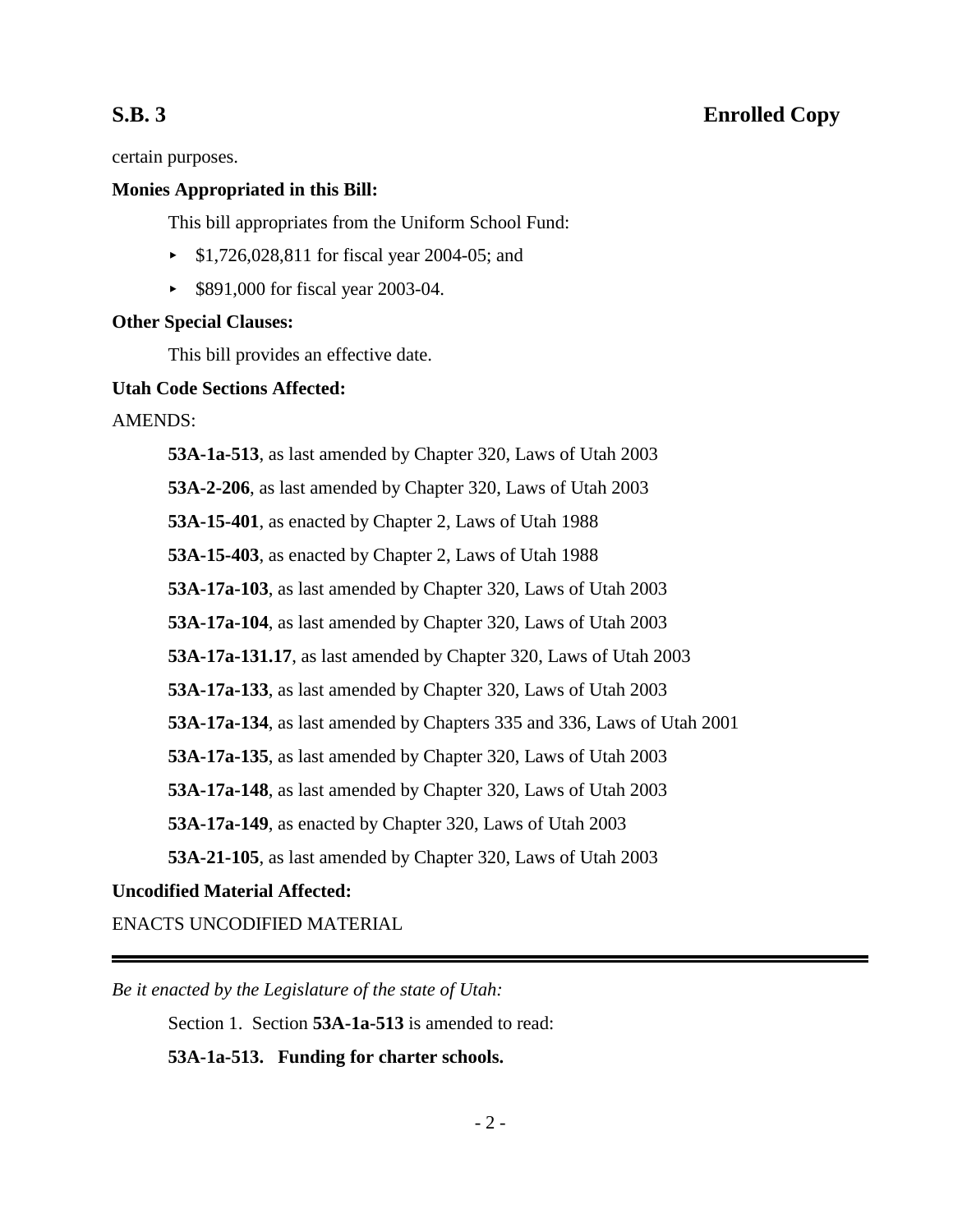certain purposes.

### **Monies Appropriated in this Bill:**

This bill appropriates from the Uniform School Fund:

- < \$1,726,028,811 for fiscal year 2004-05; and
- ► \$891,000 for fiscal year 2003-04.

### **Other Special Clauses:**

This bill provides an effective date.

### **Utah Code Sections Affected:**

AMENDS:

**53A-1a-513**, as last amended by Chapter 320, Laws of Utah 2003 **53A-2-206**, as last amended by Chapter 320, Laws of Utah 2003 **53A-15-401**, as enacted by Chapter 2, Laws of Utah 1988 **53A-15-403**, as enacted by Chapter 2, Laws of Utah 1988 **53A-17a-103**, as last amended by Chapter 320, Laws of Utah 2003 **53A-17a-104**, as last amended by Chapter 320, Laws of Utah 2003 **53A-17a-131.17**, as last amended by Chapter 320, Laws of Utah 2003 **53A-17a-133**, as last amended by Chapter 320, Laws of Utah 2003 **53A-17a-134**, as last amended by Chapters 335 and 336, Laws of Utah 2001 **53A-17a-135**, as last amended by Chapter 320, Laws of Utah 2003 **53A-17a-148**, as last amended by Chapter 320, Laws of Utah 2003 **53A-17a-149**, as enacted by Chapter 320, Laws of Utah 2003 **53A-21-105**, as last amended by Chapter 320, Laws of Utah 2003

## **Uncodified Material Affected:**

ENACTS UNCODIFIED MATERIAL

*Be it enacted by the Legislature of the state of Utah:*

Section 1. Section **53A-1a-513** is amended to read:

**53A-1a-513. Funding for charter schools.**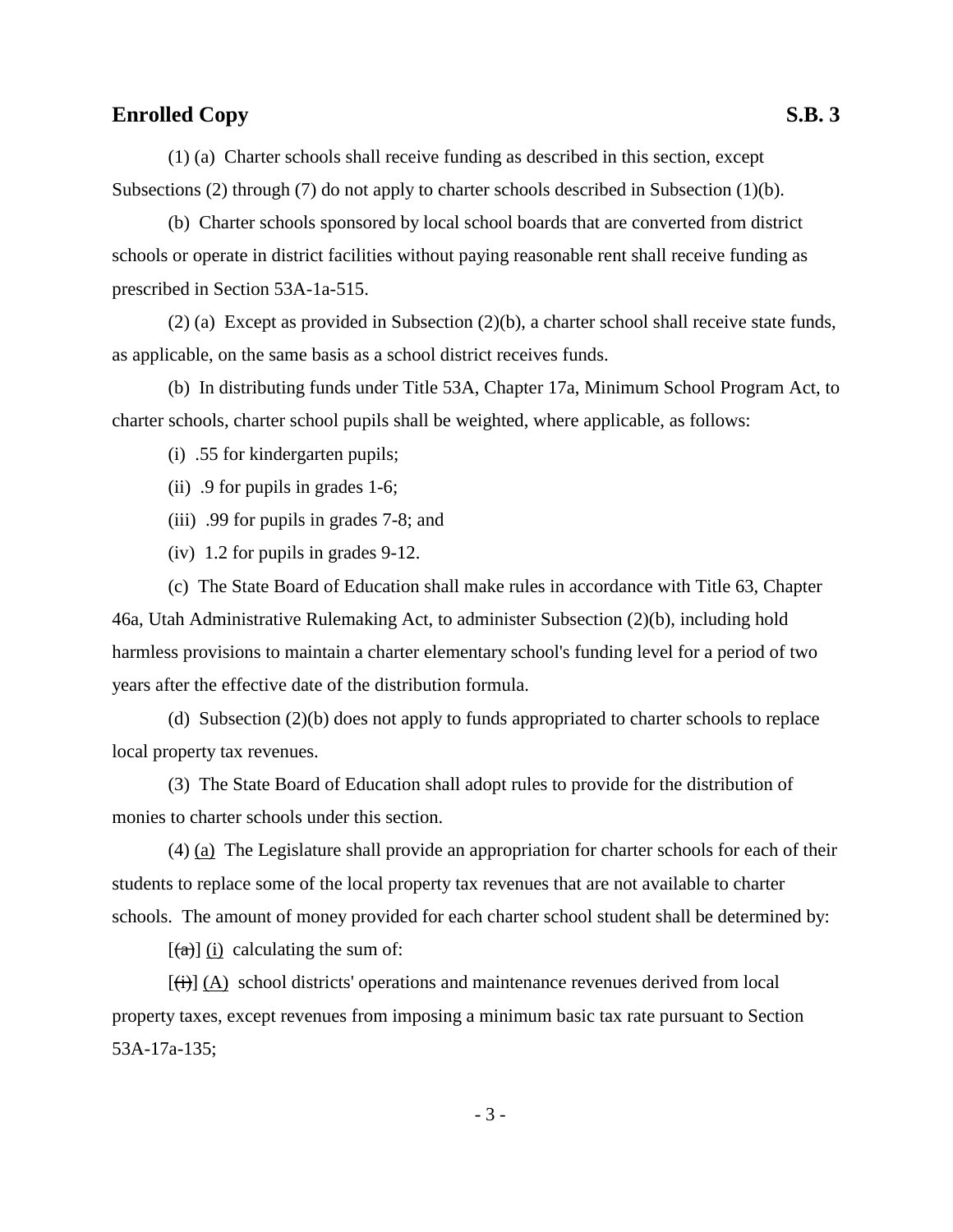(1) (a) Charter schools shall receive funding as described in this section, except Subsections (2) through (7) do not apply to charter schools described in Subsection (1)(b).

(b) Charter schools sponsored by local school boards that are converted from district schools or operate in district facilities without paying reasonable rent shall receive funding as prescribed in Section 53A-1a-515.

(2) (a) Except as provided in Subsection (2)(b), a charter school shall receive state funds, as applicable, on the same basis as a school district receives funds.

(b) In distributing funds under Title 53A, Chapter 17a, Minimum School Program Act, to charter schools, charter school pupils shall be weighted, where applicable, as follows:

(i) .55 for kindergarten pupils;

(ii) .9 for pupils in grades 1-6;

(iii) .99 for pupils in grades 7-8; and

(iv) 1.2 for pupils in grades 9-12.

(c) The State Board of Education shall make rules in accordance with Title 63, Chapter 46a, Utah Administrative Rulemaking Act, to administer Subsection (2)(b), including hold harmless provisions to maintain a charter elementary school's funding level for a period of two years after the effective date of the distribution formula.

(d) Subsection (2)(b) does not apply to funds appropriated to charter schools to replace local property tax revenues.

(3) The State Board of Education shall adopt rules to provide for the distribution of monies to charter schools under this section.

(4) (a) The Legislature shall provide an appropriation for charter schools for each of their students to replace some of the local property tax revenues that are not available to charter schools. The amount of money provided for each charter school student shall be determined by:

 $[(a)]$  (i) calculating the sum of:

 $[\overline{(t)}]$  (A) school districts' operations and maintenance revenues derived from local property taxes, except revenues from imposing a minimum basic tax rate pursuant to Section 53A-17a-135;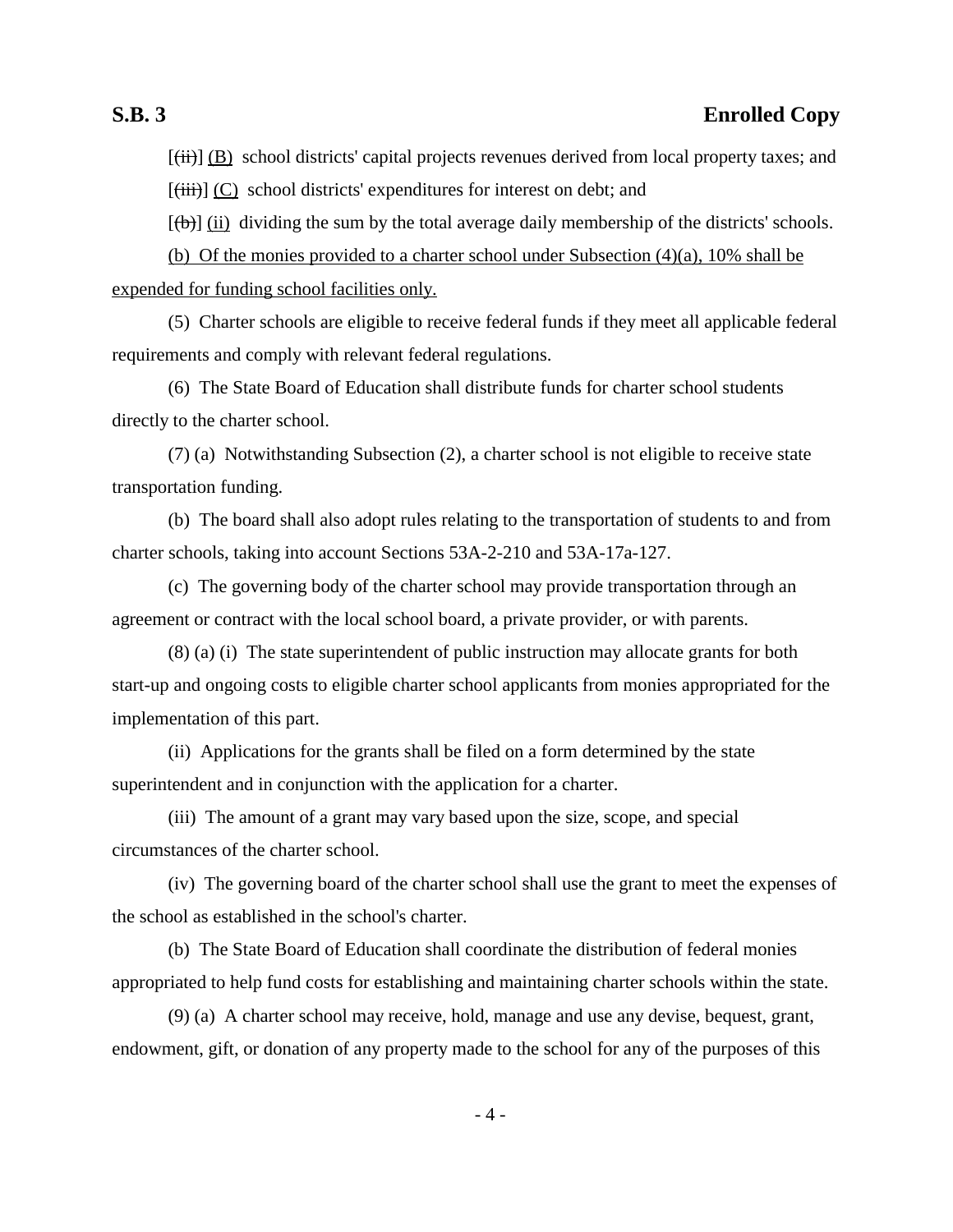$[\overline{\text{(iii)}}]$  (B) school districts' capital projects revenues derived from local property taxes; and  $[\overline{\text{(iii)}}]$  (C) school districts' expenditures for interest on debt; and

 $[(\theta)]$  (ii) dividing the sum by the total average daily membership of the districts' schools.

(b) Of the monies provided to a charter school under Subsection (4)(a), 10% shall be expended for funding school facilities only.

(5) Charter schools are eligible to receive federal funds if they meet all applicable federal requirements and comply with relevant federal regulations.

(6) The State Board of Education shall distribute funds for charter school students directly to the charter school.

(7) (a) Notwithstanding Subsection (2), a charter school is not eligible to receive state transportation funding.

(b) The board shall also adopt rules relating to the transportation of students to and from charter schools, taking into account Sections 53A-2-210 and 53A-17a-127.

(c) The governing body of the charter school may provide transportation through an agreement or contract with the local school board, a private provider, or with parents.

(8) (a) (i) The state superintendent of public instruction may allocate grants for both start-up and ongoing costs to eligible charter school applicants from monies appropriated for the implementation of this part.

(ii) Applications for the grants shall be filed on a form determined by the state superintendent and in conjunction with the application for a charter.

(iii) The amount of a grant may vary based upon the size, scope, and special circumstances of the charter school.

(iv) The governing board of the charter school shall use the grant to meet the expenses of the school as established in the school's charter.

(b) The State Board of Education shall coordinate the distribution of federal monies appropriated to help fund costs for establishing and maintaining charter schools within the state.

(9) (a) A charter school may receive, hold, manage and use any devise, bequest, grant, endowment, gift, or donation of any property made to the school for any of the purposes of this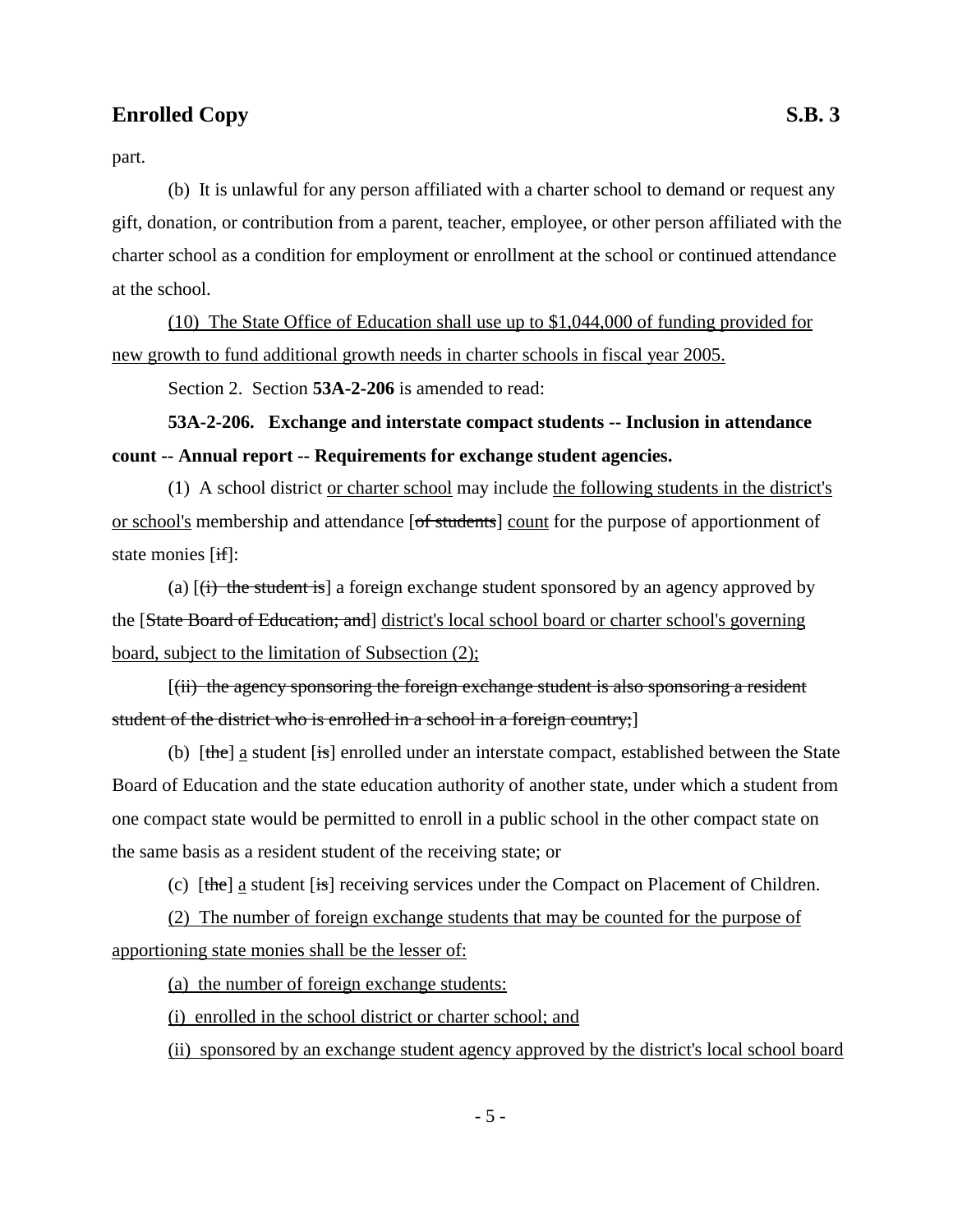part.

(b) It is unlawful for any person affiliated with a charter school to demand or request any gift, donation, or contribution from a parent, teacher, employee, or other person affiliated with the charter school as a condition for employment or enrollment at the school or continued attendance at the school.

(10) The State Office of Education shall use up to \$1,044,000 of funding provided for new growth to fund additional growth needs in charter schools in fiscal year 2005.

Section 2. Section **53A-2-206** is amended to read:

**53A-2-206. Exchange and interstate compact students -- Inclusion in attendance count -- Annual report -- Requirements for exchange student agencies.**

(1) A school district or charter school may include the following students in the district's or school's membership and attendance [of students] count for the purpose of apportionment of state monies [if]:

(a)  $[\overrightarrow{t}]$  the student is a foreign exchange student sponsored by an agency approved by the [State Board of Education; and] district's local school board or charter school's governing board, subject to the limitation of Subsection (2);

[(ii) the agency sponsoring the foreign exchange student is also sponsoring a resident student of the district who is enrolled in a school in a foreign country;]

(b)  $[\theta]$  [the] a student [is] enrolled under an interstate compact, established between the State Board of Education and the state education authority of another state, under which a student from one compact state would be permitted to enroll in a public school in the other compact state on the same basis as a resident student of the receiving state; or

(c)  $[the]$  a student  $[is]$  receiving services under the Compact on Placement of Children.

(2) The number of foreign exchange students that may be counted for the purpose of apportioning state monies shall be the lesser of:

(a) the number of foreign exchange students:

(i) enrolled in the school district or charter school; and

(ii) sponsored by an exchange student agency approved by the district's local school board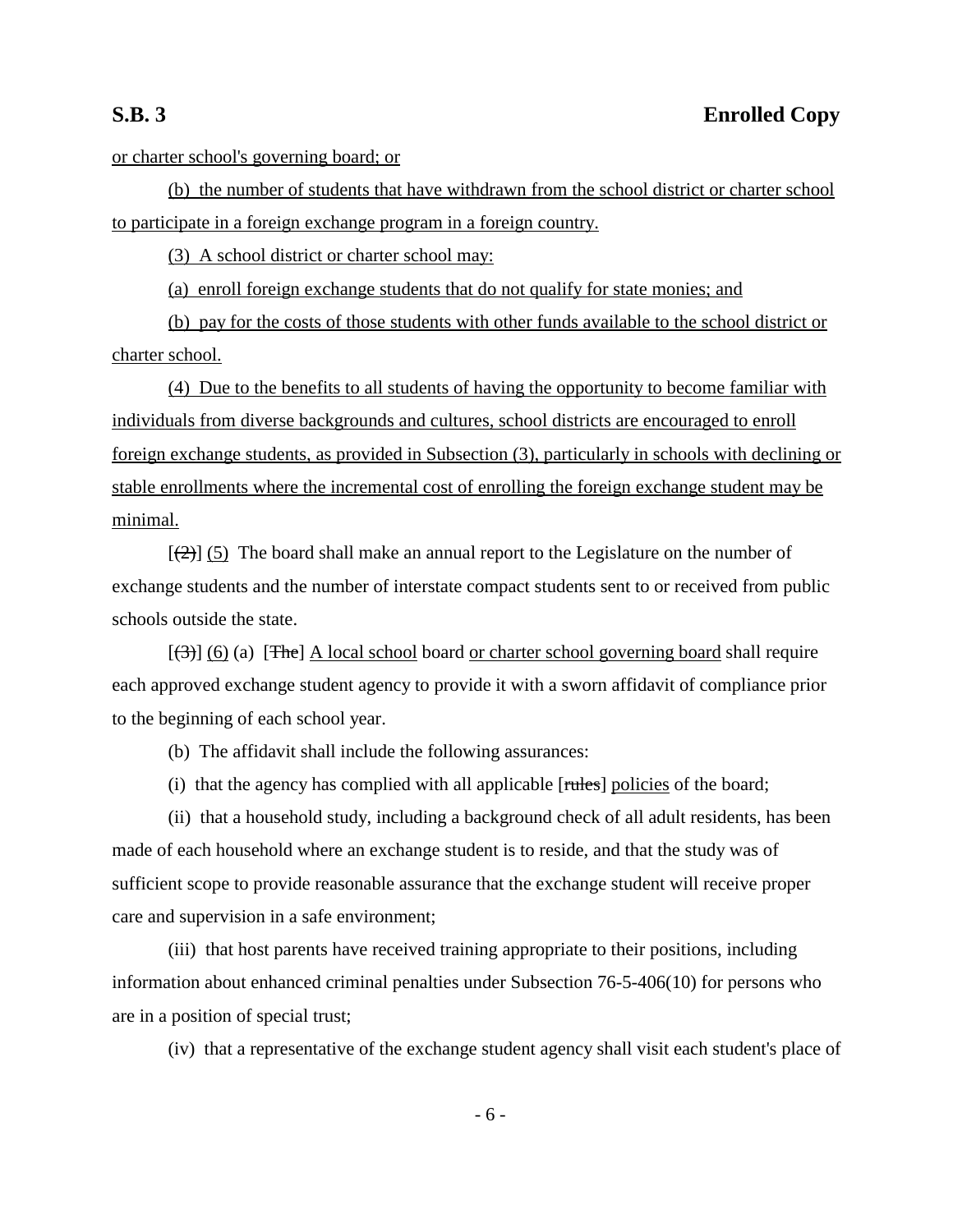or charter school's governing board; or

(b) the number of students that have withdrawn from the school district or charter school to participate in a foreign exchange program in a foreign country.

(3) A school district or charter school may:

(a) enroll foreign exchange students that do not qualify for state monies; and

(b) pay for the costs of those students with other funds available to the school district or charter school.

(4) Due to the benefits to all students of having the opportunity to become familiar with individuals from diverse backgrounds and cultures, school districts are encouraged to enroll foreign exchange students, as provided in Subsection (3), particularly in schools with declining or stable enrollments where the incremental cost of enrolling the foreign exchange student may be minimal.

 $[\frac{1}{2}]$  (5) The board shall make an annual report to the Legislature on the number of exchange students and the number of interstate compact students sent to or received from public schools outside the state.

 $[(3)]$  (6) (a) [The] A local school board or charter school governing board shall require each approved exchange student agency to provide it with a sworn affidavit of compliance prior to the beginning of each school year.

(b) The affidavit shall include the following assurances:

(i) that the agency has complied with all applicable [rules] policies of the board;

(ii) that a household study, including a background check of all adult residents, has been made of each household where an exchange student is to reside, and that the study was of sufficient scope to provide reasonable assurance that the exchange student will receive proper care and supervision in a safe environment;

(iii) that host parents have received training appropriate to their positions, including information about enhanced criminal penalties under Subsection 76-5-406(10) for persons who are in a position of special trust;

(iv) that a representative of the exchange student agency shall visit each student's place of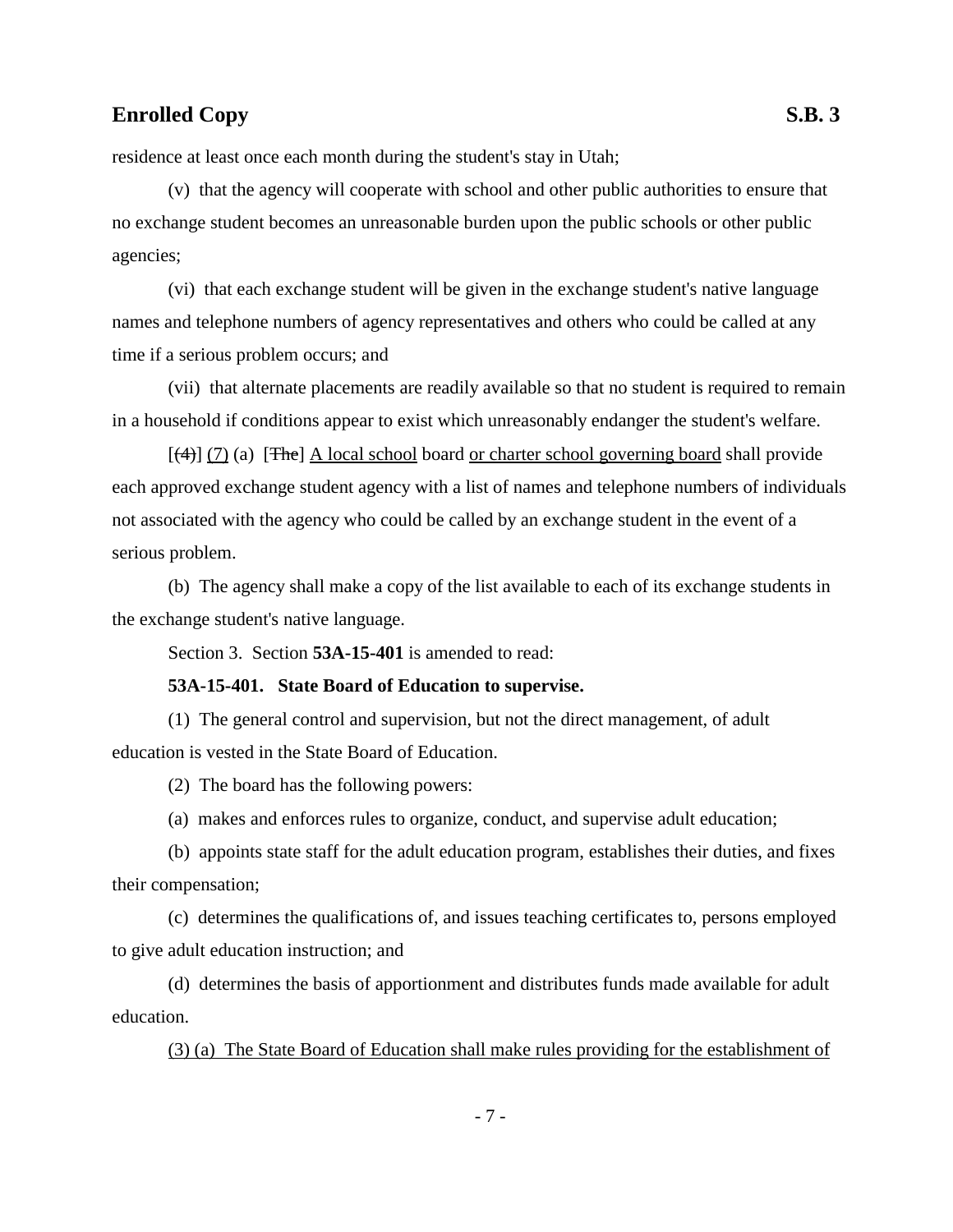residence at least once each month during the student's stay in Utah;

(v) that the agency will cooperate with school and other public authorities to ensure that no exchange student becomes an unreasonable burden upon the public schools or other public agencies;

(vi) that each exchange student will be given in the exchange student's native language names and telephone numbers of agency representatives and others who could be called at any time if a serious problem occurs; and

(vii) that alternate placements are readily available so that no student is required to remain in a household if conditions appear to exist which unreasonably endanger the student's welfare.

 $[(4)]$  (7) (a) [The] A local school board or charter school governing board shall provide each approved exchange student agency with a list of names and telephone numbers of individuals not associated with the agency who could be called by an exchange student in the event of a serious problem.

(b) The agency shall make a copy of the list available to each of its exchange students in the exchange student's native language.

Section 3. Section **53A-15-401** is amended to read:

### **53A-15-401. State Board of Education to supervise.**

(1) The general control and supervision, but not the direct management, of adult education is vested in the State Board of Education.

(2) The board has the following powers:

(a) makes and enforces rules to organize, conduct, and supervise adult education;

(b) appoints state staff for the adult education program, establishes their duties, and fixes their compensation;

(c) determines the qualifications of, and issues teaching certificates to, persons employed to give adult education instruction; and

(d) determines the basis of apportionment and distributes funds made available for adult education.

(3) (a) The State Board of Education shall make rules providing for the establishment of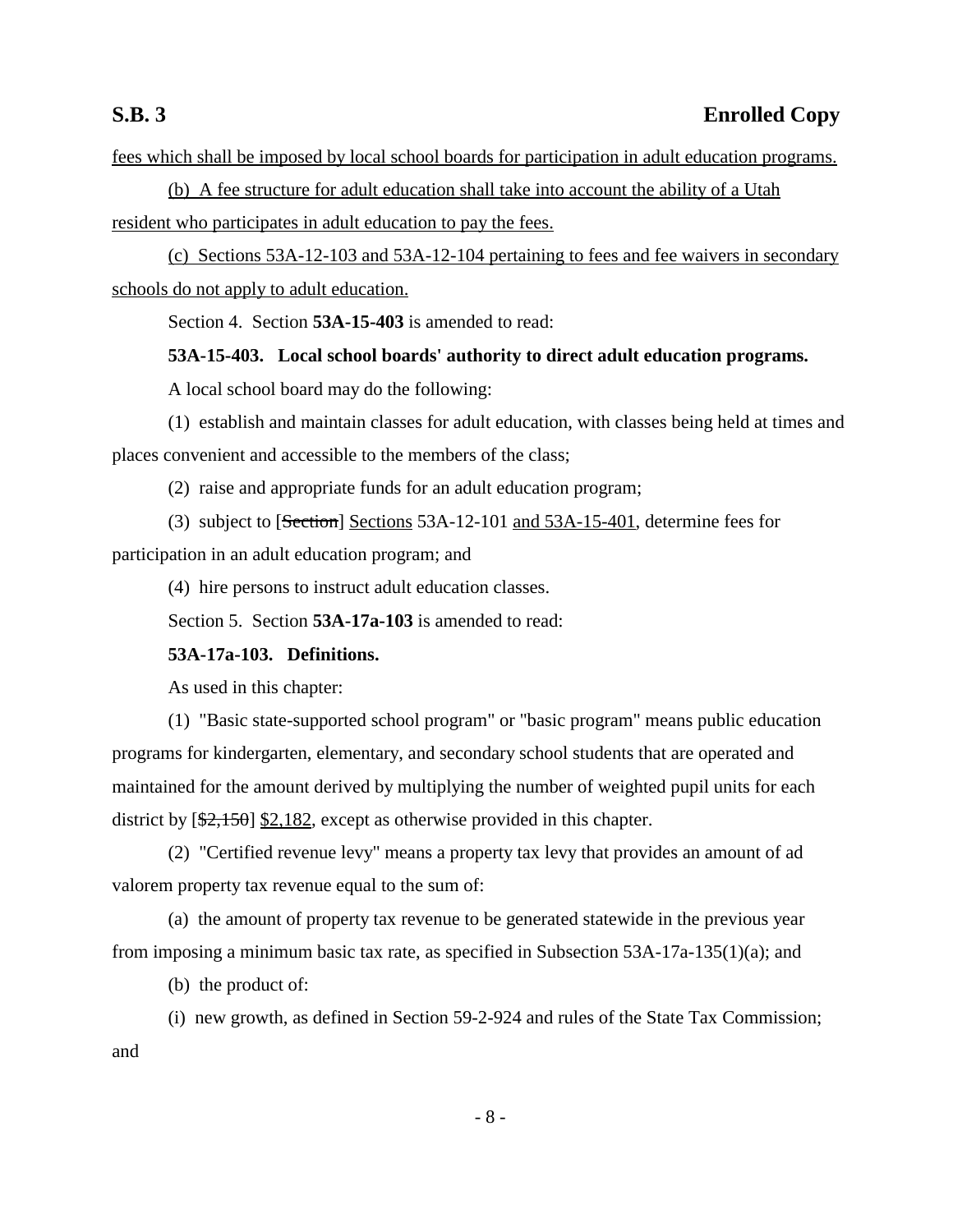fees which shall be imposed by local school boards for participation in adult education programs.

(b) A fee structure for adult education shall take into account the ability of a Utah resident who participates in adult education to pay the fees.

(c) Sections 53A-12-103 and 53A-12-104 pertaining to fees and fee waivers in secondary schools do not apply to adult education.

Section 4. Section **53A-15-403** is amended to read:

**53A-15-403. Local school boards' authority to direct adult education programs.**

A local school board may do the following:

(1) establish and maintain classes for adult education, with classes being held at times and places convenient and accessible to the members of the class;

(2) raise and appropriate funds for an adult education program;

(3) subject to [Section] Sections 53A-12-101 and 53A-15-401, determine fees for participation in an adult education program; and

(4) hire persons to instruct adult education classes.

Section 5. Section **53A-17a-103** is amended to read:

## **53A-17a-103. Definitions.**

As used in this chapter:

(1) "Basic state-supported school program" or "basic program" means public education programs for kindergarten, elementary, and secondary school students that are operated and maintained for the amount derived by multiplying the number of weighted pupil units for each district by  $[\frac{2,150}{2,182}]$ , except as otherwise provided in this chapter.

(2) "Certified revenue levy" means a property tax levy that provides an amount of ad valorem property tax revenue equal to the sum of:

(a) the amount of property tax revenue to be generated statewide in the previous year from imposing a minimum basic tax rate, as specified in Subsection 53A-17a-135(1)(a); and

(b) the product of:

(i) new growth, as defined in Section 59-2-924 and rules of the State Tax Commission; and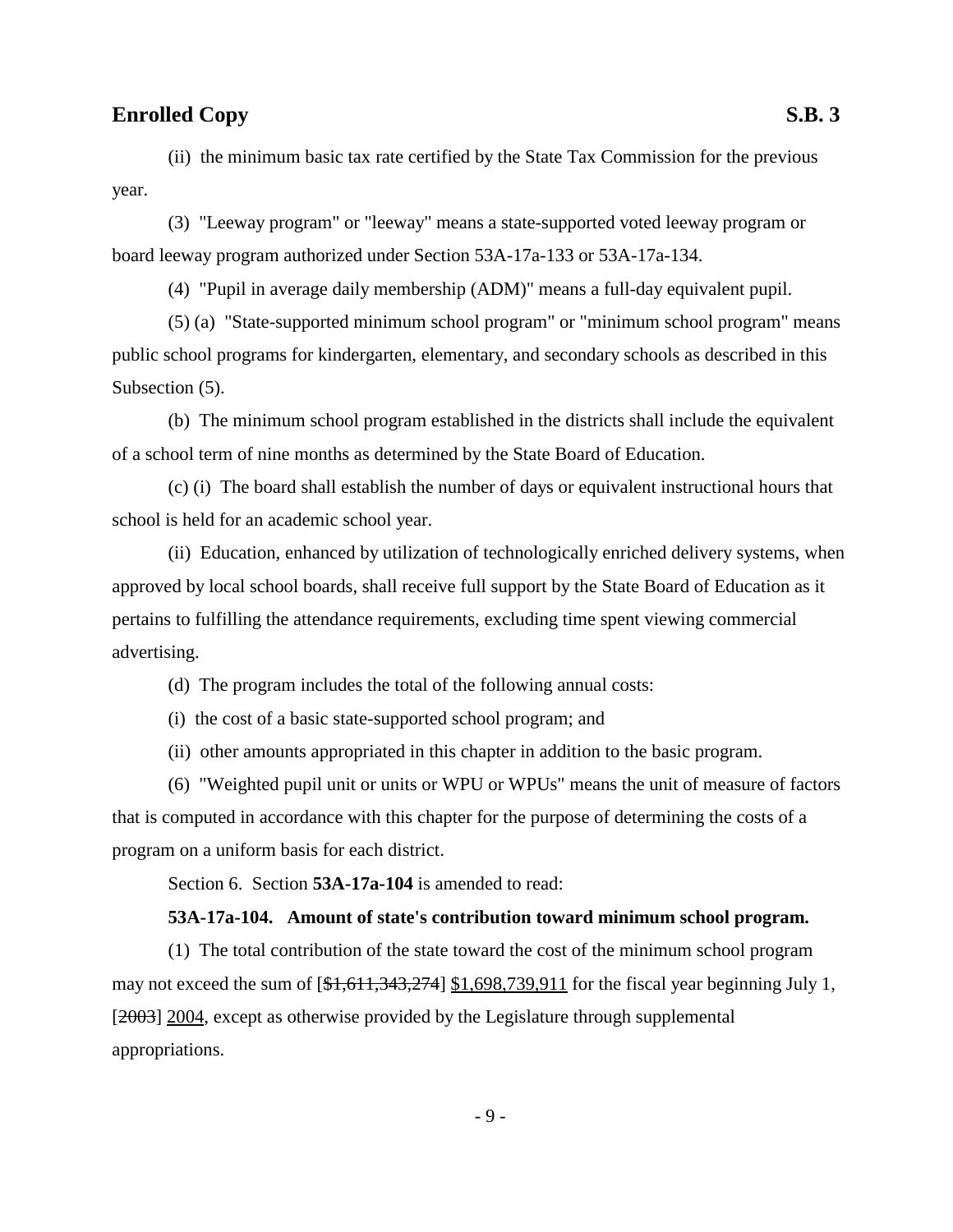(ii) the minimum basic tax rate certified by the State Tax Commission for the previous year.

(3) "Leeway program" or "leeway" means a state-supported voted leeway program or board leeway program authorized under Section 53A-17a-133 or 53A-17a-134.

(4) "Pupil in average daily membership (ADM)" means a full-day equivalent pupil.

(5) (a) "State-supported minimum school program" or "minimum school program" means public school programs for kindergarten, elementary, and secondary schools as described in this Subsection  $(5)$ .

(b) The minimum school program established in the districts shall include the equivalent of a school term of nine months as determined by the State Board of Education.

(c) (i) The board shall establish the number of days or equivalent instructional hours that school is held for an academic school year.

(ii) Education, enhanced by utilization of technologically enriched delivery systems, when approved by local school boards, shall receive full support by the State Board of Education as it pertains to fulfilling the attendance requirements, excluding time spent viewing commercial advertising.

(d) The program includes the total of the following annual costs:

(i) the cost of a basic state-supported school program; and

(ii) other amounts appropriated in this chapter in addition to the basic program.

(6) "Weighted pupil unit or units or WPU or WPUs" means the unit of measure of factors that is computed in accordance with this chapter for the purpose of determining the costs of a program on a uniform basis for each district.

Section 6. Section **53A-17a-104** is amended to read:

### **53A-17a-104. Amount of state's contribution toward minimum school program.**

(1) The total contribution of the state toward the cost of the minimum school program may not exceed the sum of  $[41,611,343,274]$  \$1,698,739,911 for the fiscal year beginning July 1, [2003] 2004, except as otherwise provided by the Legislature through supplemental appropriations.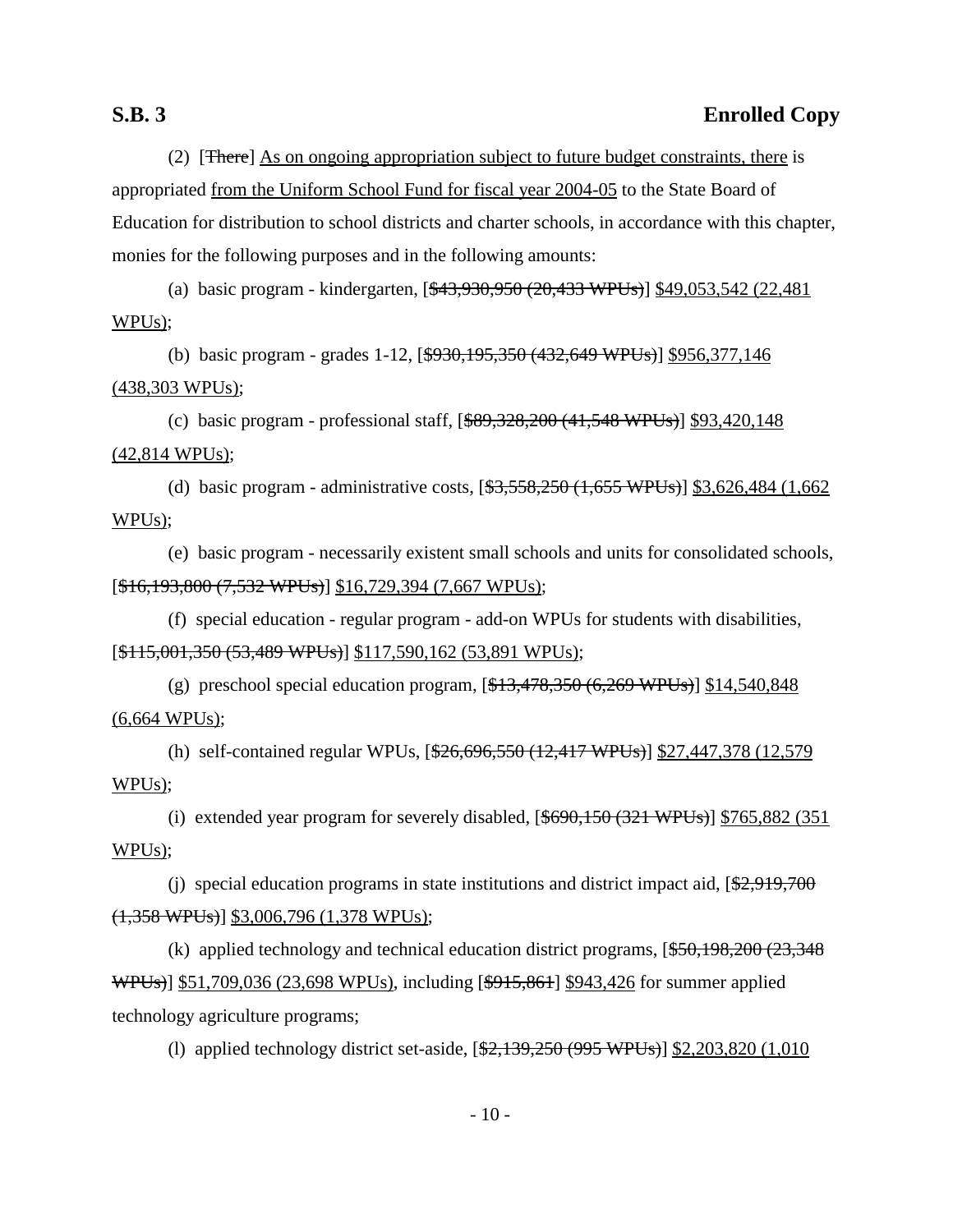(2) [There] As on ongoing appropriation subject to future budget constraints, there is appropriated from the Uniform School Fund for fiscal year 2004-05 to the State Board of Education for distribution to school districts and charter schools, in accordance with this chapter, monies for the following purposes and in the following amounts:

(a) basic program - kindergarten, [\$43,930,950 (20,433 WPUs)] \$49,053,542 (22,481 WPUs);

(b) basic program - grades 1-12, [\$930,195,350 (432,649 WPUs)] \$956,377,146 (438,303 WPUs);

(c) basic program - professional staff,  $[$ \$89,328,200 (41,548 WPUs)] \$93,420,148 (42,814 WPUs);

(d) basic program - administrative costs, [\$3,558,250 (1,655 WPUs)] \$3,626,484 (1,662 WPUs);

(e) basic program - necessarily existent small schools and units for consolidated schools, [\$16,193,800 (7,532 WPUs)] \$16,729,394 (7,667 WPUs);

(f) special education - regular program - add-on WPUs for students with disabilities, [\$115,001,350 (53,489 WPUs)] \$117,590,162 (53,891 WPUs);

(g) preschool special education program,  $[\frac{13,478,350 (6,269 \text{ WPUs})}{6,269 \text{ WPUs}}]$  \$14,540,848 (6,664 WPUs);

(h) self-contained regular WPUs, [\$26,696,550 (12,417 WPUs)] \$27,447,378 (12,579 WPUs);

(i) extended year program for severely disabled,  $[$ \$690,150 (321 WPUs)] \$765,882 (351) WPUs);

(i) special education programs in state institutions and district impact aid,  $\sqrt{\frac{2,919,700}{2}}$  $(1,358 \text{ WPUs})$ ] \$3,006,796 (1,378 WPUs);

(k) applied technology and technical education district programs,  $[$50,198,200 (23,348)$ WPUs)] \$51,709,036 (23,698 WPUs), including [\$915,861] \$943,426 for summer applied technology agriculture programs;

(l) applied technology district set-aside, [\$2,139,250 (995 WPUs)] \$2,203,820 (1,010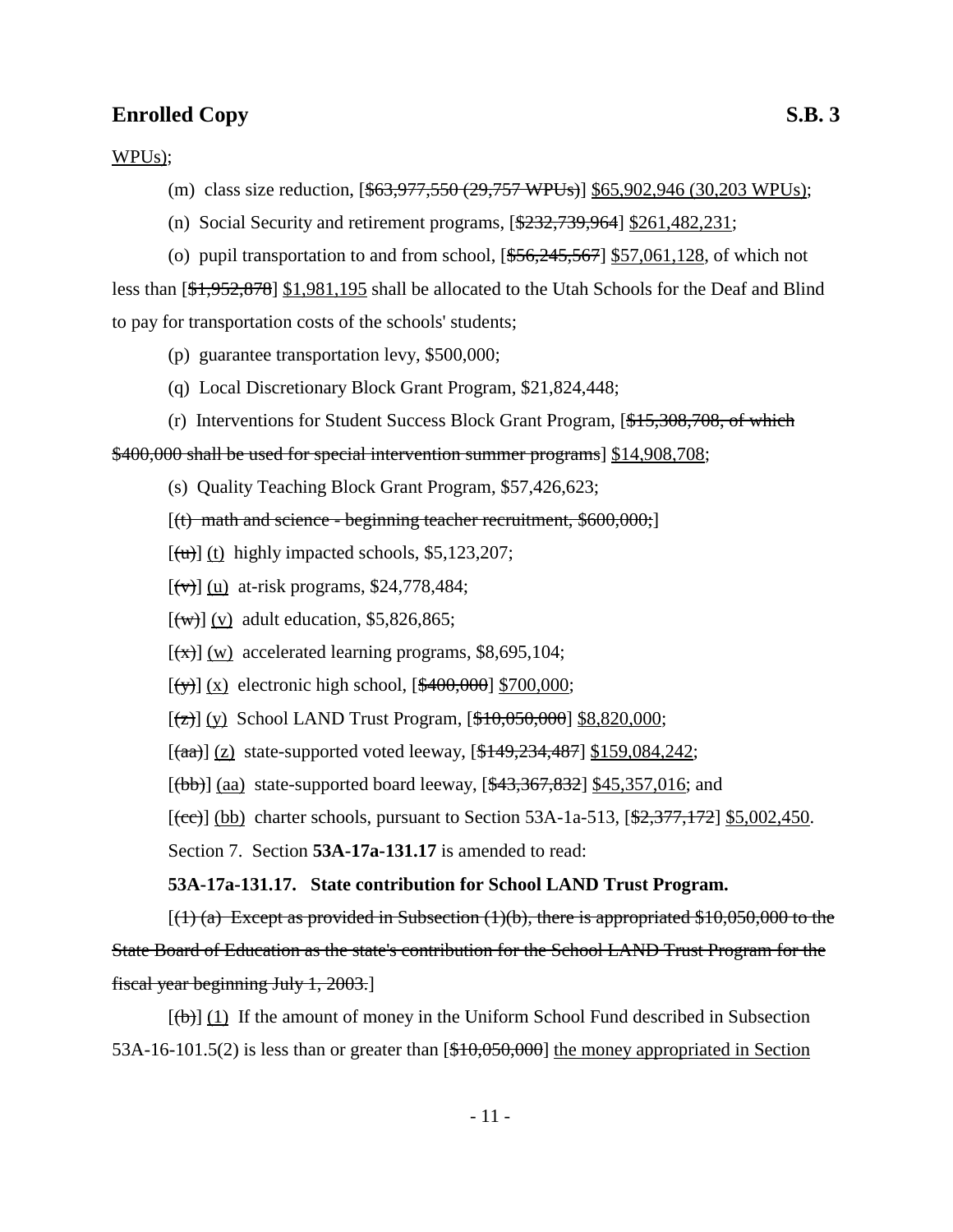WPUs);

- (m) class size reduction,  $[$ <del>\$63,977,550 (29,757 WPUs)</del> $]$  \$65,902,946 (30,203 WPUs);
- (n) Social Security and retirement programs,  $[$232,739,964]$  \$261,482,231;

(o) pupil transportation to and from school,  $[ $$56,245,567$ ]$  \$57,061,128, of which not less than [\$1,952,878] \$1,981,195 shall be allocated to the Utah Schools for the Deaf and Blind to pay for transportation costs of the schools' students;

- (p) guarantee transportation levy, \$500,000;
- (q) Local Discretionary Block Grant Program, \$21,824,448;
- (r) Interventions for Student Success Block Grant Program, [\$15,308,708, of which

\$400,000 shall be used for special intervention summer programs] \$14,908,708;

- (s) Quality Teaching Block Grant Program, \$57,426,623;
- $[(t)$  math and science beginning teacher recruitment,  $$600,000;$
- $\lceil$ (u) (t) highly impacted schools, \$5,123,207;
- $[(\forall \rightarrow)]$  (u) at-risk programs, \$24,778,484;
- $\lceil$ (w) (v) adult education, \$5,826,865;
- $[\overline{(x)}]$  (w) accelerated learning programs, \$8,695,104;
- $[(\forall)(x)]$  electronic high school,  $[\frac{400,000}{8700,000}]$ ;
- $[(2)] (y)$  School LAND Trust Program,  $[410,050,000]$  \$8,820,000;

 $[(aa)] (z)$  state-supported voted leeway,  $[449,234,487]$  \$159,084,242;

 $[(bb)]$  (aa) state-supported board leeway,  $[443,367,832]$  \$45,357,016; and

 $[\text{(ce)}]$  (bb) charter schools, pursuant to Section 53A-1a-513,  $[\frac{2,377,172}{2,5002,450}]$ .

Section 7. Section **53A-17a-131.17** is amended to read:

### **53A-17a-131.17. State contribution for School LAND Trust Program.**

 $(1)$  (a) Except as provided in Subsection (1)(b), there is appropriated \$10,050,000 to the State Board of Education as the state's contribution for the School LAND Trust Program for the fiscal year beginning July 1, 2003.]

 $[(\theta)] (1)$  If the amount of money in the Uniform School Fund described in Subsection 53A-16-101.5(2) is less than or greater than [\$10,050,000] the money appropriated in Section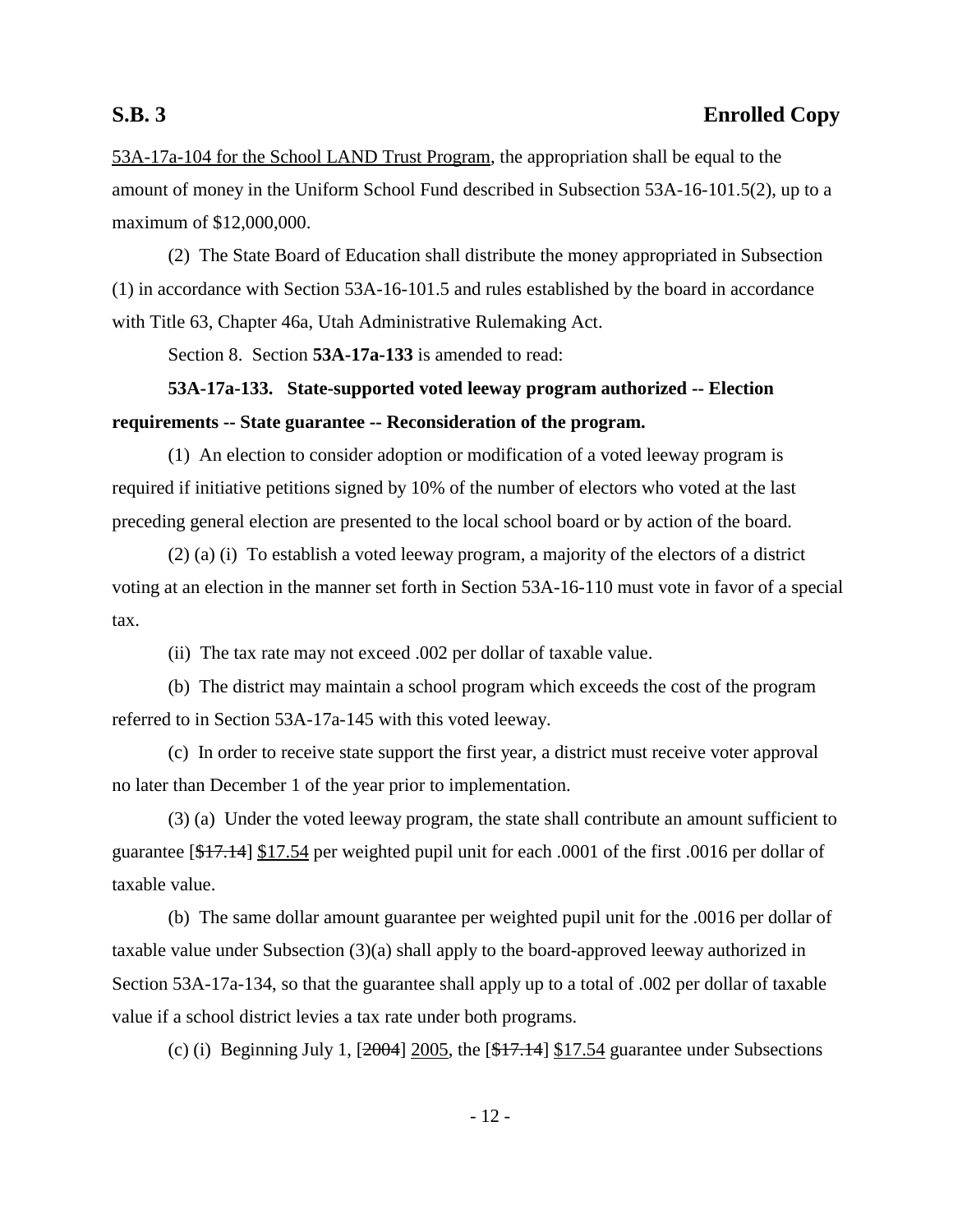53A-17a-104 for the School LAND Trust Program, the appropriation shall be equal to the amount of money in the Uniform School Fund described in Subsection 53A-16-101.5(2), up to a maximum of \$12,000,000.

(2) The State Board of Education shall distribute the money appropriated in Subsection (1) in accordance with Section 53A-16-101.5 and rules established by the board in accordance with Title 63, Chapter 46a, Utah Administrative Rulemaking Act.

Section 8. Section **53A-17a-133** is amended to read:

# **53A-17a-133. State-supported voted leeway program authorized -- Election requirements -- State guarantee -- Reconsideration of the program.**

(1) An election to consider adoption or modification of a voted leeway program is required if initiative petitions signed by 10% of the number of electors who voted at the last preceding general election are presented to the local school board or by action of the board.

(2) (a) (i) To establish a voted leeway program, a majority of the electors of a district voting at an election in the manner set forth in Section 53A-16-110 must vote in favor of a special tax.

(ii) The tax rate may not exceed .002 per dollar of taxable value.

(b) The district may maintain a school program which exceeds the cost of the program referred to in Section 53A-17a-145 with this voted leeway.

(c) In order to receive state support the first year, a district must receive voter approval no later than December 1 of the year prior to implementation.

(3) (a) Under the voted leeway program, the state shall contribute an amount sufficient to guarantee [\$17.14] \$17.54 per weighted pupil unit for each .0001 of the first .0016 per dollar of taxable value.

(b) The same dollar amount guarantee per weighted pupil unit for the .0016 per dollar of taxable value under Subsection (3)(a) shall apply to the board-approved leeway authorized in Section 53A-17a-134, so that the guarantee shall apply up to a total of .002 per dollar of taxable value if a school district levies a tax rate under both programs.

(c) (i) Beginning July 1,  $[2004]$   $2005$ , the  $[417.14]$   $[17.54]$  guarantee under Subsections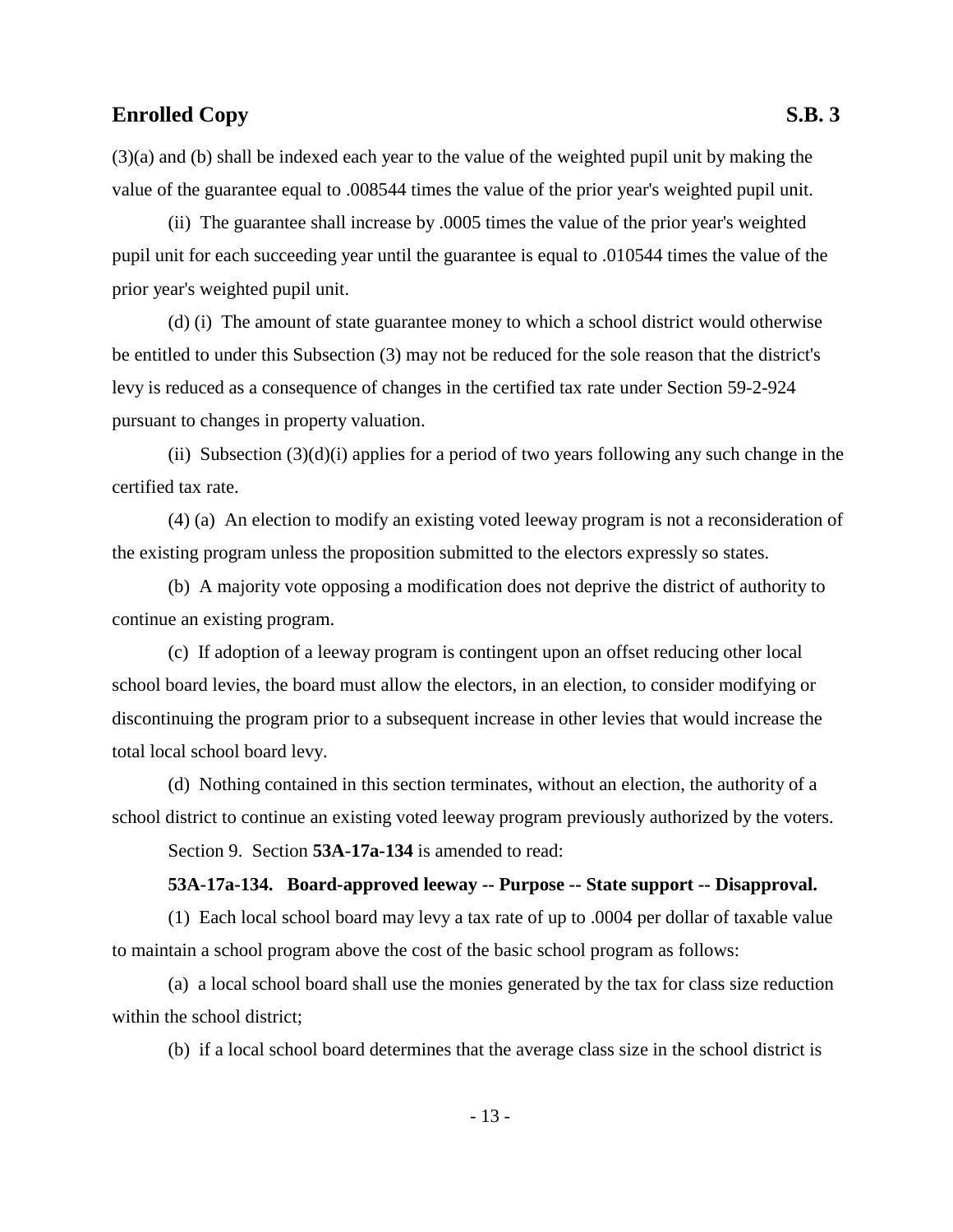(3)(a) and (b) shall be indexed each year to the value of the weighted pupil unit by making the value of the guarantee equal to .008544 times the value of the prior year's weighted pupil unit.

(ii) The guarantee shall increase by .0005 times the value of the prior year's weighted pupil unit for each succeeding year until the guarantee is equal to .010544 times the value of the prior year's weighted pupil unit.

(d) (i) The amount of state guarantee money to which a school district would otherwise be entitled to under this Subsection (3) may not be reduced for the sole reason that the district's levy is reduced as a consequence of changes in the certified tax rate under Section 59-2-924 pursuant to changes in property valuation.

(ii) Subsection  $(3)(d)(i)$  applies for a period of two years following any such change in the certified tax rate.

(4) (a) An election to modify an existing voted leeway program is not a reconsideration of the existing program unless the proposition submitted to the electors expressly so states.

(b) A majority vote opposing a modification does not deprive the district of authority to continue an existing program.

(c) If adoption of a leeway program is contingent upon an offset reducing other local school board levies, the board must allow the electors, in an election, to consider modifying or discontinuing the program prior to a subsequent increase in other levies that would increase the total local school board levy.

(d) Nothing contained in this section terminates, without an election, the authority of a school district to continue an existing voted leeway program previously authorized by the voters.

Section 9. Section **53A-17a-134** is amended to read:

### **53A-17a-134. Board-approved leeway -- Purpose -- State support -- Disapproval.**

(1) Each local school board may levy a tax rate of up to .0004 per dollar of taxable value to maintain a school program above the cost of the basic school program as follows:

(a) a local school board shall use the monies generated by the tax for class size reduction within the school district;

(b) if a local school board determines that the average class size in the school district is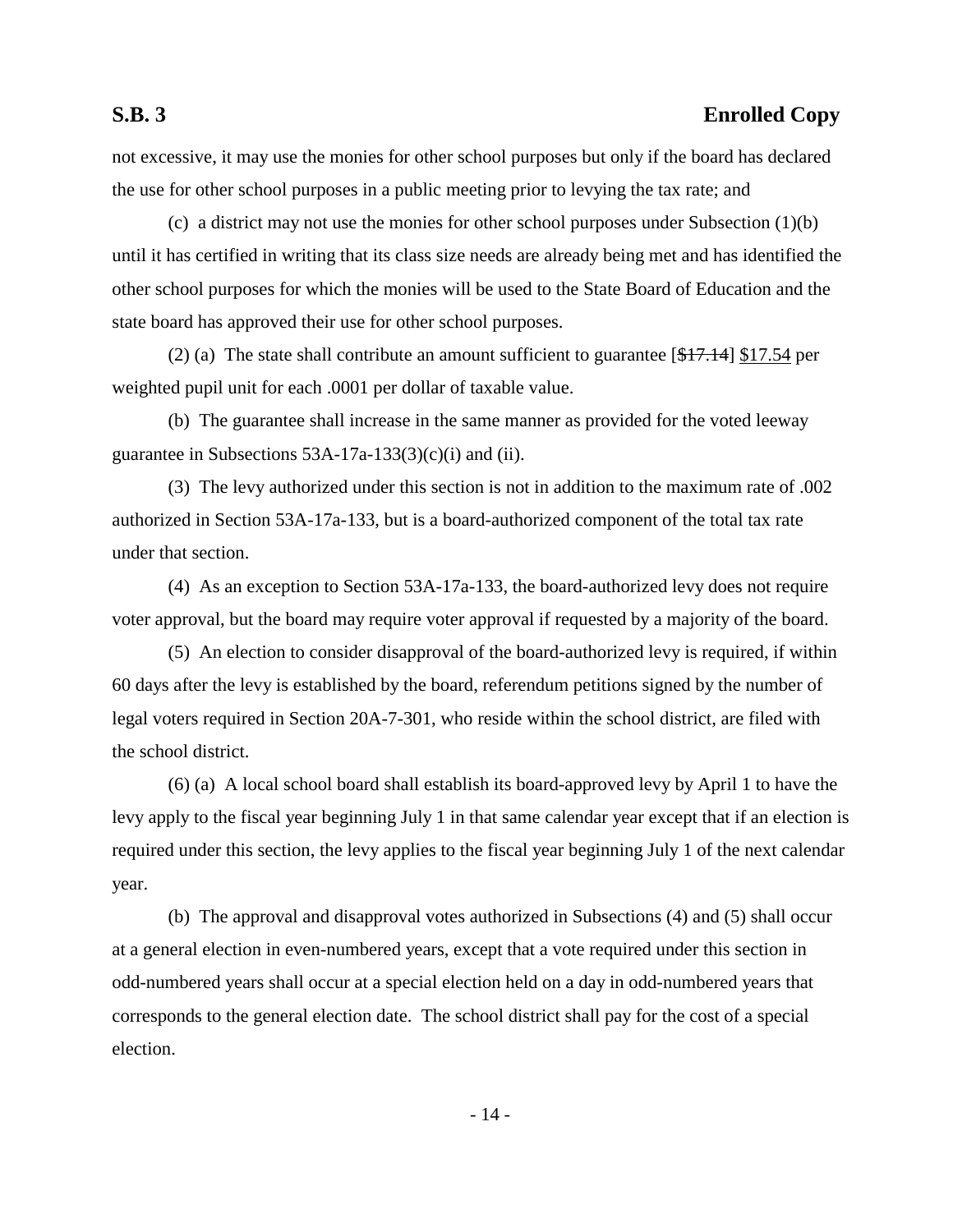not excessive, it may use the monies for other school purposes but only if the board has declared the use for other school purposes in a public meeting prior to levying the tax rate; and

(c) a district may not use the monies for other school purposes under Subsection (1)(b) until it has certified in writing that its class size needs are already being met and has identified the other school purposes for which the monies will be used to the State Board of Education and the state board has approved their use for other school purposes.

(2) (a) The state shall contribute an amount sufficient to guarantee  $[47.14]$  \$17.54 per weighted pupil unit for each .0001 per dollar of taxable value.

(b) The guarantee shall increase in the same manner as provided for the voted leeway guarantee in Subsections  $53A-17a-133(3)(c)(i)$  and (ii).

(3) The levy authorized under this section is not in addition to the maximum rate of .002 authorized in Section 53A-17a-133, but is a board-authorized component of the total tax rate under that section.

(4) As an exception to Section 53A-17a-133, the board-authorized levy does not require voter approval, but the board may require voter approval if requested by a majority of the board.

(5) An election to consider disapproval of the board-authorized levy is required, if within 60 days after the levy is established by the board, referendum petitions signed by the number of legal voters required in Section 20A-7-301, who reside within the school district, are filed with the school district.

(6) (a) A local school board shall establish its board-approved levy by April 1 to have the levy apply to the fiscal year beginning July 1 in that same calendar year except that if an election is required under this section, the levy applies to the fiscal year beginning July 1 of the next calendar year.

(b) The approval and disapproval votes authorized in Subsections (4) and (5) shall occur at a general election in even-numbered years, except that a vote required under this section in odd-numbered years shall occur at a special election held on a day in odd-numbered years that corresponds to the general election date. The school district shall pay for the cost of a special election.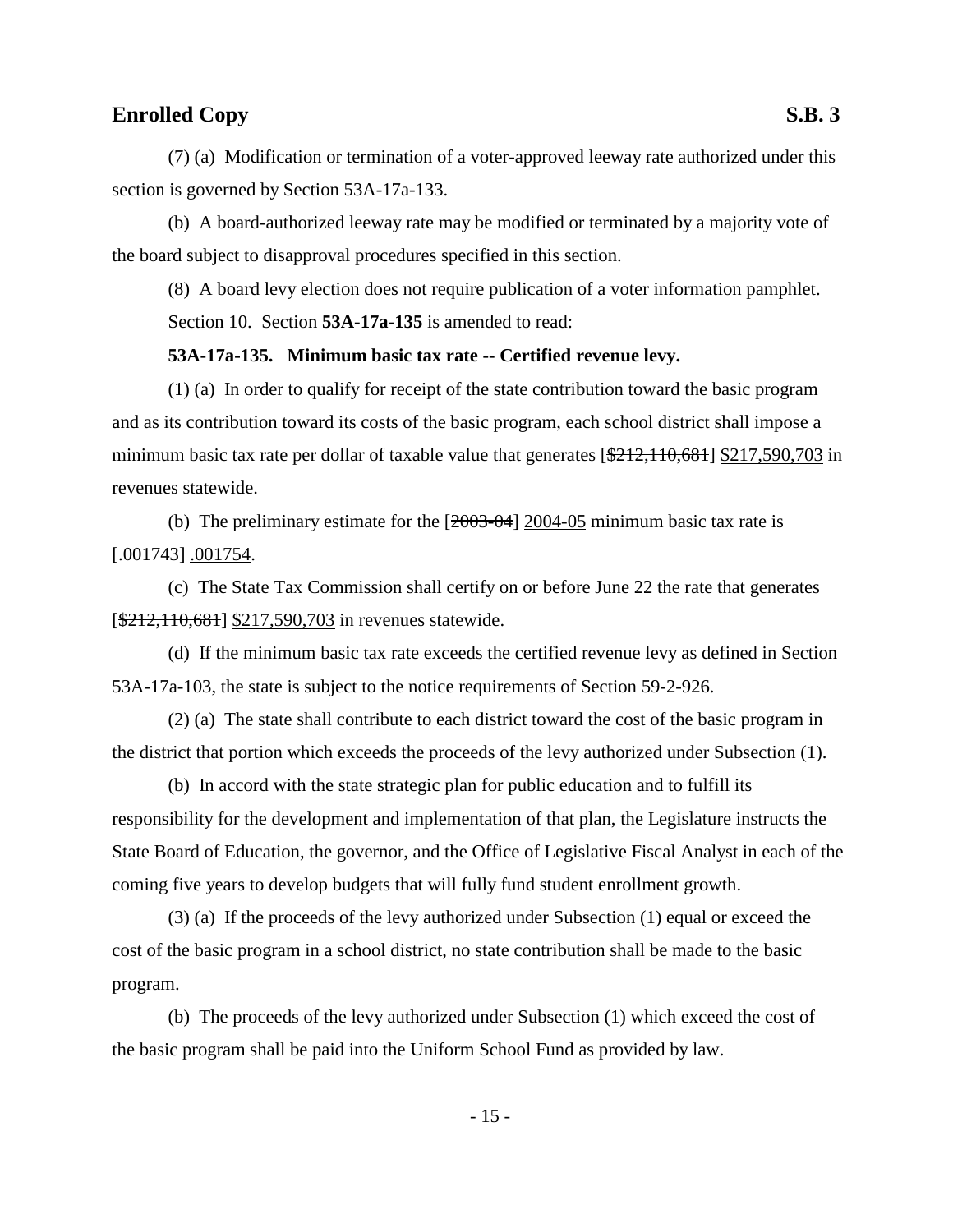(7) (a) Modification or termination of a voter-approved leeway rate authorized under this section is governed by Section 53A-17a-133.

(b) A board-authorized leeway rate may be modified or terminated by a majority vote of the board subject to disapproval procedures specified in this section.

(8) A board levy election does not require publication of a voter information pamphlet. Section 10. Section **53A-17a-135** is amended to read:

### **53A-17a-135. Minimum basic tax rate -- Certified revenue levy.**

(1) (a) In order to qualify for receipt of the state contribution toward the basic program and as its contribution toward its costs of the basic program, each school district shall impose a minimum basic tax rate per dollar of taxable value that generates [\$212,110,681] \$217,590,703 in revenues statewide.

(b) The preliminary estimate for the  $[2003-04]$  2004-05 minimum basic tax rate is  $[-001743]$  .001754.

(c) The State Tax Commission shall certify on or before June 22 the rate that generates [ $\frac{$212,110,681}{$217,590,703}$  in revenues statewide.

(d) If the minimum basic tax rate exceeds the certified revenue levy as defined in Section 53A-17a-103, the state is subject to the notice requirements of Section 59-2-926.

(2) (a) The state shall contribute to each district toward the cost of the basic program in the district that portion which exceeds the proceeds of the levy authorized under Subsection (1).

(b) In accord with the state strategic plan for public education and to fulfill its responsibility for the development and implementation of that plan, the Legislature instructs the State Board of Education, the governor, and the Office of Legislative Fiscal Analyst in each of the coming five years to develop budgets that will fully fund student enrollment growth.

(3) (a) If the proceeds of the levy authorized under Subsection (1) equal or exceed the cost of the basic program in a school district, no state contribution shall be made to the basic program.

(b) The proceeds of the levy authorized under Subsection (1) which exceed the cost of the basic program shall be paid into the Uniform School Fund as provided by law.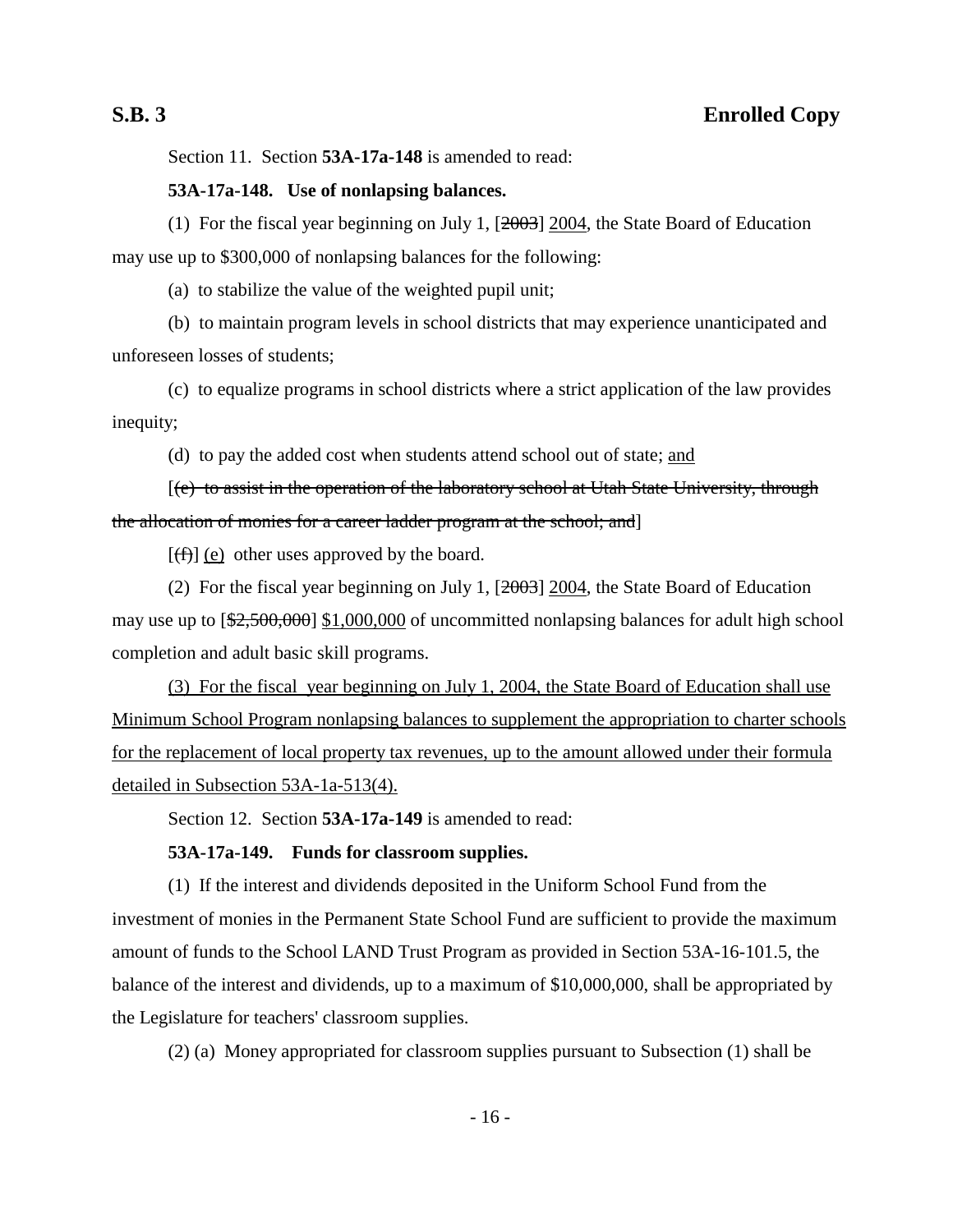Section 11. Section **53A-17a-148** is amended to read:

### **53A-17a-148. Use of nonlapsing balances.**

(1) For the fiscal year beginning on July 1, [2003] 2004, the State Board of Education may use up to \$300,000 of nonlapsing balances for the following:

(a) to stabilize the value of the weighted pupil unit;

(b) to maintain program levels in school districts that may experience unanticipated and unforeseen losses of students;

(c) to equalize programs in school districts where a strict application of the law provides inequity;

(d) to pay the added cost when students attend school out of state; and

[(e) to assist in the operation of the laboratory school at Utah State University, through the allocation of monies for a career ladder program at the school; and]

 $[(f)]$  (e) other uses approved by the board.

(2) For the fiscal year beginning on July 1, [2003] 2004, the State Board of Education may use up to  $[\frac{22,500,000}{1,000,000}]$  of uncommitted nonlapsing balances for adult high school completion and adult basic skill programs.

(3) For the fiscal year beginning on July 1, 2004, the State Board of Education shall use Minimum School Program nonlapsing balances to supplement the appropriation to charter schools for the replacement of local property tax revenues, up to the amount allowed under their formula detailed in Subsection 53A-1a-513(4).

Section 12. Section **53A-17a-149** is amended to read:

### **53A-17a-149. Funds for classroom supplies.**

(1) If the interest and dividends deposited in the Uniform School Fund from the investment of monies in the Permanent State School Fund are sufficient to provide the maximum amount of funds to the School LAND Trust Program as provided in Section 53A-16-101.5, the balance of the interest and dividends, up to a maximum of \$10,000,000, shall be appropriated by the Legislature for teachers' classroom supplies.

(2) (a) Money appropriated for classroom supplies pursuant to Subsection (1) shall be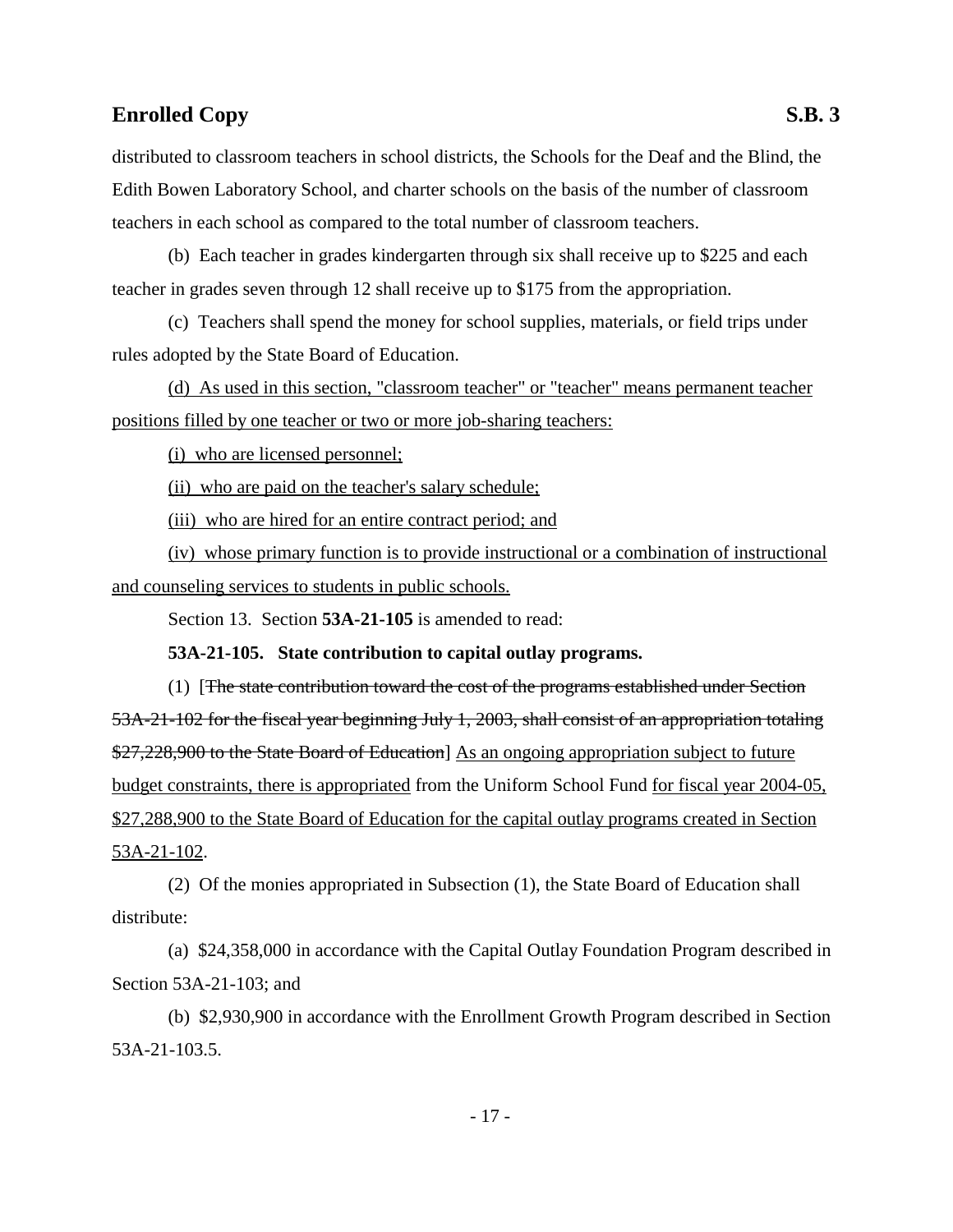distributed to classroom teachers in school districts, the Schools for the Deaf and the Blind, the Edith Bowen Laboratory School, and charter schools on the basis of the number of classroom teachers in each school as compared to the total number of classroom teachers.

(b) Each teacher in grades kindergarten through six shall receive up to \$225 and each teacher in grades seven through 12 shall receive up to \$175 from the appropriation.

(c) Teachers shall spend the money for school supplies, materials, or field trips under rules adopted by the State Board of Education.

(d) As used in this section, "classroom teacher" or "teacher" means permanent teacher positions filled by one teacher or two or more job-sharing teachers:

(i) who are licensed personnel;

(ii) who are paid on the teacher's salary schedule;

(iii) who are hired for an entire contract period; and

(iv) whose primary function is to provide instructional or a combination of instructional and counseling services to students in public schools.

Section 13. Section **53A-21-105** is amended to read:

**53A-21-105. State contribution to capital outlay programs.**

(1) [The state contribution toward the cost of the programs established under Section 53A-21-102 for the fiscal year beginning July 1, 2003, shall consist of an appropriation totaling \$27,228,900 to the State Board of Education As an ongoing appropriation subject to future budget constraints, there is appropriated from the Uniform School Fund for fiscal year 2004-05, \$27,288,900 to the State Board of Education for the capital outlay programs created in Section 53A-21-102.

(2) Of the monies appropriated in Subsection (1), the State Board of Education shall distribute:

(a) \$24,358,000 in accordance with the Capital Outlay Foundation Program described in Section 53A-21-103; and

(b) \$2,930,900 in accordance with the Enrollment Growth Program described in Section 53A-21-103.5.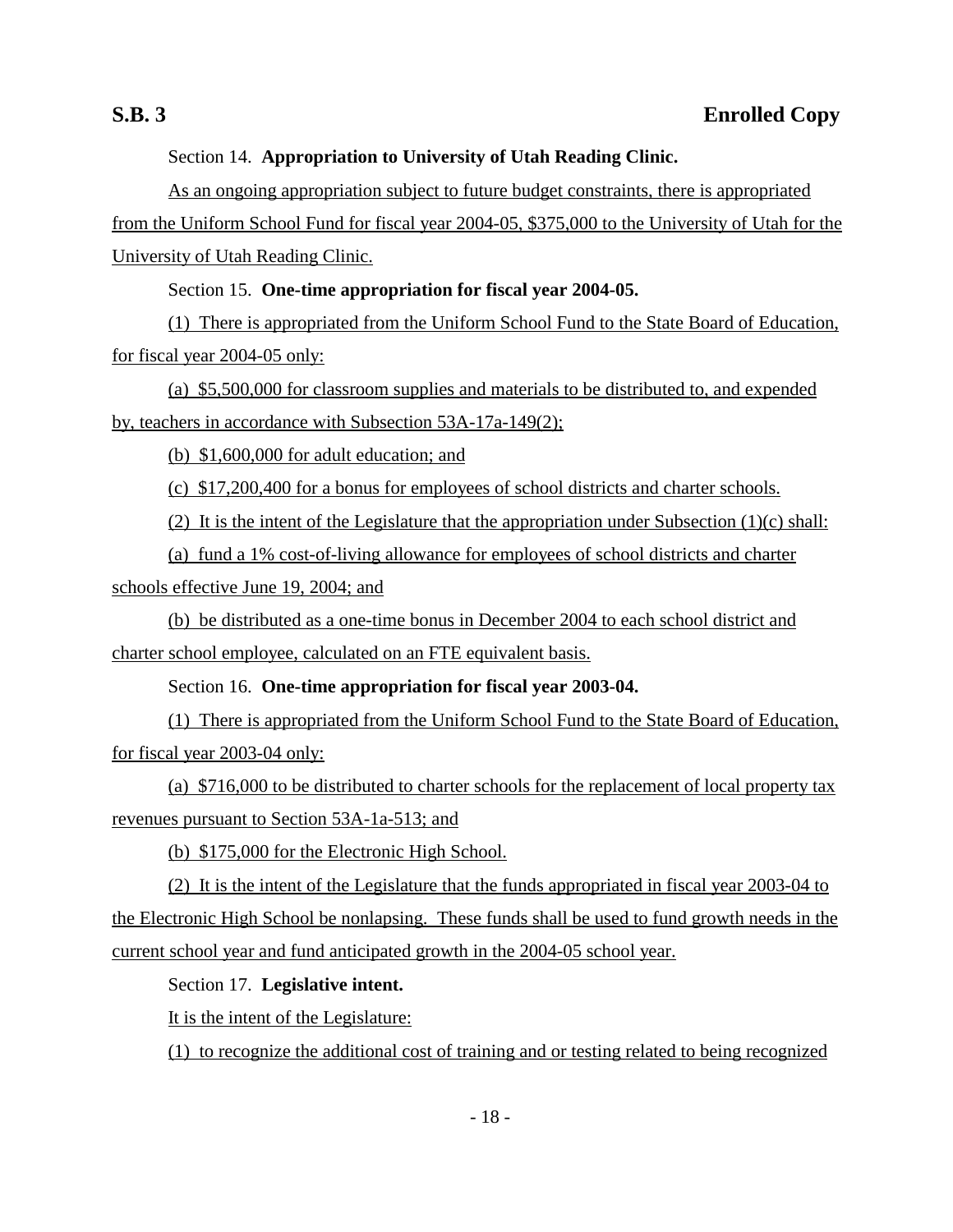## Section 14. **Appropriation to University of Utah Reading Clinic.**

As an ongoing appropriation subject to future budget constraints, there is appropriated from the Uniform School Fund for fiscal year 2004-05, \$375,000 to the University of Utah for the University of Utah Reading Clinic.

## Section 15. **One-time appropriation for fiscal year 2004-05.**

(1) There is appropriated from the Uniform School Fund to the State Board of Education, for fiscal year 2004-05 only:

(a) \$5,500,000 for classroom supplies and materials to be distributed to, and expended by, teachers in accordance with Subsection 53A-17a-149(2);

(b) \$1,600,000 for adult education; and

(c) \$17,200,400 for a bonus for employees of school districts and charter schools.

(2) It is the intent of the Legislature that the appropriation under Subsection  $(1)(c)$  shall:

(a) fund a 1% cost-of-living allowance for employees of school districts and charter

schools effective June 19, 2004; and

(b) be distributed as a one-time bonus in December 2004 to each school district and charter school employee, calculated on an FTE equivalent basis.

Section 16. **One-time appropriation for fiscal year 2003-04.**

(1) There is appropriated from the Uniform School Fund to the State Board of Education, for fiscal year 2003-04 only:

(a) \$716,000 to be distributed to charter schools for the replacement of local property tax revenues pursuant to Section 53A-1a-513; and

(b) \$175,000 for the Electronic High School.

(2) It is the intent of the Legislature that the funds appropriated in fiscal year 2003-04 to the Electronic High School be nonlapsing. These funds shall be used to fund growth needs in the current school year and fund anticipated growth in the 2004-05 school year.

Section 17. **Legislative intent.**

It is the intent of the Legislature:

(1) to recognize the additional cost of training and or testing related to being recognized